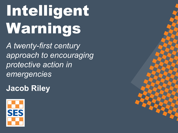# Intelligent Warnings

*A twenty-first century approach to encouraging protective action in emergencies*

**Jacob Riley**

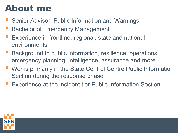## About me

- Senior Advisor, Public Information and Warnings
- Bachelor of Emergency Management
- Experience in frontline, regional, state and national environments
- Background in public information, resilience, operations, emergency planning, intelligence, assurance and more
- Works primarily in the State Control Centre Public Information Section during the response phase
- Experience at the incident tier Public Information Section

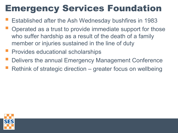## Emergency Services Foundation

- Established after the Ash Wednesday bushfires in 1983
- Operated as a trust to provide immediate support for those who suffer hardship as a result of the death of a family member or injuries sustained in the line of duty
- Provides educational scholarships
- Delivers the annual Emergency Management Conference
- Rethink of strategic direction greater focus on wellbeing

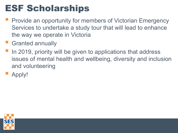## ESF Scholarships

- Provide an opportunity for members of Victorian Emergency Services to undertake a study tour that will lead to enhance the way we operate in Victoria
- **Granted annually**
- In 2019, priority will be given to applications that address issues of mental health and wellbeing, diversity and inclusion and volunteering
- Apply!

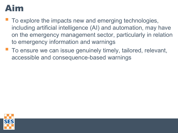#### Aim

- To explore the impacts new and emerging technologies, including artificial intelligence (AI) and automation, may have on the emergency management sector, particularly in relation to emergency information and warnings
- To ensure we can issue genuinely timely, tailored, relevant, accessible and consequence-based warnings

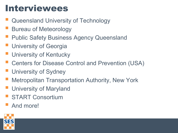### Interviewees

- Queensland University of Technology
- Bureau of Meteorology
- Public Safety Business Agency Queensland
- University of Georgia
- University of Kentucky
- Centers for Disease Control and Prevention (USA)
- University of Sydney
- Metropolitan Transportation Authority, New York
- University of Maryland
- START Consortium
- And more!

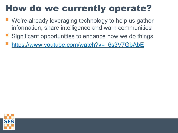## How do we currently operate?

- We're already leveraging technology to help us gather information, share intelligence and warn communities
- Significant opportunities to enhance how we do things
- https://www.youtube.com/watch?v= 6s3V7GbAbE

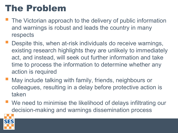## The Problem

- The Victorian approach to the delivery of public information and warnings is robust and leads the country in many respects
- Despite this, when at-risk individuals do receive warnings, existing research highlights they are unlikely to immediately act, and instead, will seek out further information and take time to process the information to determine whether any action is required
- May include talking with family, friends, neighbours or colleagues, resulting in a delay before protective action is taken
- We need to minimise the likelihood of delays infiltrating our decision-making and warnings dissemination process

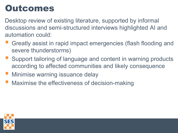## Outcomes

Desktop review of existing literature, supported by informal discussions and semi-structured interviews highlighted AI and automation could:

- Greatly assist in rapid impact emergencies (flash flooding and severe thunderstorms)
- Support tailoring of language and content in warning products according to affected communities and likely consequence
- Minimise warning issuance delay
- Maximise the effectiveness of decision-making

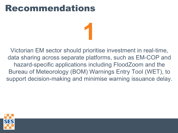Victorian EM sector should prioritise investment in real-time, data sharing across separate platforms, such as EM-COP and hazard-specific applications including FloodZoom and the Bureau of Meteorology (BOM) Warnings Entry Tool (WET), to support decision-making and minimise warning issuance delay.

**1**

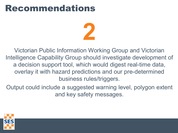

Victorian Public Information Working Group and Victorian Intelligence Capability Group should investigate development of a decision support tool, which would digest real-time data, overlay it with hazard predictions and our pre-determined business rules/triggers.

Output could include a suggested warning level, polygon extent and key safety messages.

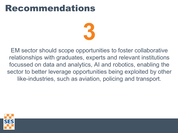

EM sector should scope opportunities to foster collaborative relationships with graduates, experts and relevant institutions focussed on data and analytics, AI and robotics, enabling the sector to better leverage opportunities being exploited by other like-industries, such as aviation, policing and transport.

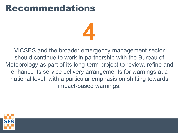**4**

VICSES and the broader emergency management sector should continue to work in partnership with the Bureau of Meteorology as part of its long-term project to review, refine and enhance its service delivery arrangements for warnings at a national level, with a particular emphasis on shifting towards impact-based warnings.

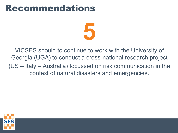

VICSES should to continue to work with the University of Georgia (UGA) to conduct a cross-national research project (US – Italy – Australia) focussed on risk communication in the context of natural disasters and emergencies.

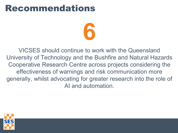

VICSES should continue to work with the Queensland University of Technology and the Bushfire and Natural Hazards Cooperative Research Centre across projects considering the effectiveness of warnings and risk communication more generally, whilst advocating for greater research into the role of AI and automation.

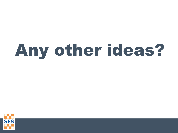## Any other ideas?